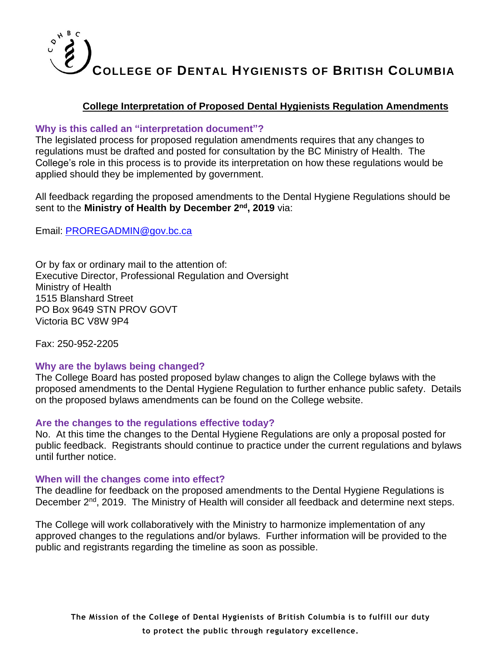## **College Interpretation of Proposed Dental Hygienists Regulation Amendments**

### **Why is this called an "interpretation document"?**

The legislated process for proposed regulation amendments requires that any changes to regulations must be drafted and posted for consultation by the BC Ministry of Health. The College's role in this process is to provide its interpretation on how these regulations would be applied should they be implemented by government.

All feedback regarding the proposed amendments to the Dental Hygiene Regulations should be sent to the **Ministry of Health by December 2nd, 2019** via:

Email: [PROREGADMIN@gov.bc.ca](mailto:PROREGADMIN@gov.bc.ca)

Or by fax or ordinary mail to the attention of: Executive Director, Professional Regulation and Oversight Ministry of Health 1515 Blanshard Street PO Box 9649 STN PROV GOVT Victoria BC V8W 9P4

Fax: 250-952-2205

### **Why are the bylaws being changed?**

The College Board has posted proposed bylaw changes to align the College bylaws with the proposed amendments to the Dental Hygiene Regulation to further enhance public safety. Details on the proposed bylaws amendments can be found on the College website.

### **Are the changes to the regulations effective today?**

No. At this time the changes to the Dental Hygiene Regulations are only a proposal posted for public feedback. Registrants should continue to practice under the current regulations and bylaws until further notice.

### **When will the changes come into effect?**

The deadline for feedback on the proposed amendments to the Dental Hygiene Regulations is December 2<sup>nd</sup>, 2019. The Ministry of Health will consider all feedback and determine next steps.

The College will work collaboratively with the Ministry to harmonize implementation of any approved changes to the regulations and/or bylaws. Further information will be provided to the public and registrants regarding the timeline as soon as possible.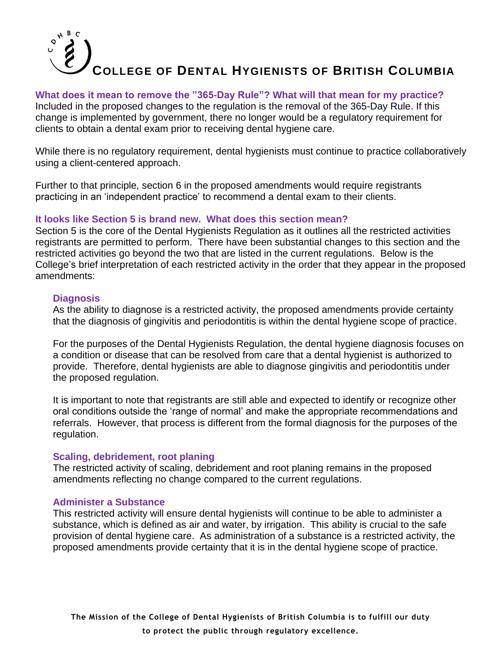### **What does it mean to remove the "365-Day Rule"? What will that mean for my practice?**

Included in the proposed changes to the regulation is the removal of the 365-Day Rule. If this change is implemented by government, there no longer would be a regulatory requirement for clients to obtain a dental exam prior to receiving dental hygiene care.

While there is no regulatory requirement, dental hygienists must continue to practice collaboratively using a client-centered approach.

Further to that principle, section 6 in the proposed amendments would require registrants practicing in an 'independent practice' to recommend a dental exam to their clients.

### **It looks like Section 5 is brand new. What does this section mean?**

Section 5 is the core of the Dental Hygienists Regulation as it outlines all the restricted activities registrants are permitted to perform. There have been substantial changes to this section and the restricted activities go beyond the two that are listed in the current regulations. Below is the College's brief interpretation of each restricted activity in the order that they appear in the proposed amendments:

### **Diagnosis**

As the ability to diagnose is a restricted activity, the proposed amendments provide certainty that the diagnosis of gingivitis and periodontitis is within the dental hygiene scope of practice.

For the purposes of the Dental Hygienists Regulation, the dental hygiene diagnosis focuses on a condition or disease that can be resolved from care that a dental hygienist is authorized to provide. Therefore, dental hygienists are able to diagnose gingivitis and periodontitis under the proposed regulation.

It is important to note that registrants are still able and expected to identify or recognize other oral conditions outside the 'range of normal' and make the appropriate recommendations and referrals. However, that process is different from the formal diagnosis for the purposes of the regulation.

### **Scaling, debridement, root planing**

The restricted activity of scaling, debridement and root planing remains in the proposed amendments reflecting no change compared to the current regulations.

### **Administer a Substance**

This restricted activity will ensure dental hygienists will continue to be able to administer a substance, which is defined as air and water, by irrigation. This ability is crucial to the safe provision of dental hygiene care. As administration of a substance is a restricted activity, the proposed amendments provide certainty that it is in the dental hygiene scope of practice.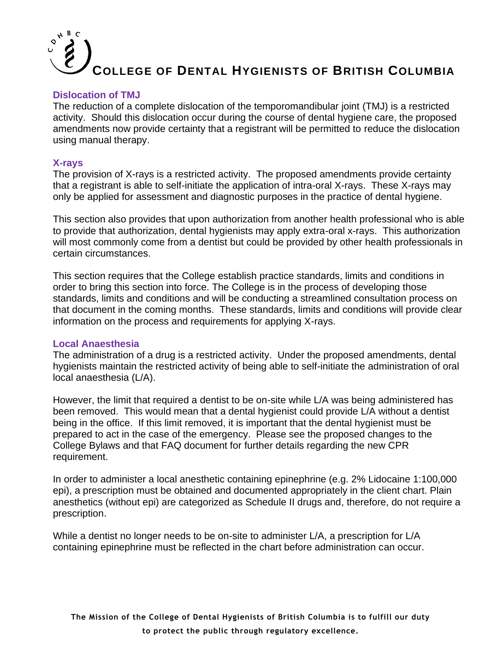### **Dislocation of TMJ**

The reduction of a complete dislocation of the temporomandibular joint (TMJ) is a restricted activity. Should this dislocation occur during the course of dental hygiene care, the proposed amendments now provide certainty that a registrant will be permitted to reduce the dislocation using manual therapy.

### **X-rays**

The provision of X-rays is a restricted activity. The proposed amendments provide certainty that a registrant is able to self-initiate the application of intra-oral X-rays. These X-rays may only be applied for assessment and diagnostic purposes in the practice of dental hygiene.

This section also provides that upon authorization from another health professional who is able to provide that authorization, dental hygienists may apply extra-oral x-rays. This authorization will most commonly come from a dentist but could be provided by other health professionals in certain circumstances.

This section requires that the College establish practice standards, limits and conditions in order to bring this section into force. The College is in the process of developing those standards, limits and conditions and will be conducting a streamlined consultation process on that document in the coming months. These standards, limits and conditions will provide clear information on the process and requirements for applying X-rays.

#### **Local Anaesthesia**

The administration of a drug is a restricted activity. Under the proposed amendments, dental hygienists maintain the restricted activity of being able to self-initiate the administration of oral local anaesthesia (L/A).

However, the limit that required a dentist to be on-site while L/A was being administered has been removed. This would mean that a dental hygienist could provide L/A without a dentist being in the office. If this limit removed, it is important that the dental hygienist must be prepared to act in the case of the emergency. Please see the proposed changes to the College Bylaws and that FAQ document for further details regarding the new CPR requirement.

In order to administer a local anesthetic containing epinephrine (e.g. 2% Lidocaine 1:100,000 epi), a prescription must be obtained and documented appropriately in the client chart. Plain anesthetics (without epi) are categorized as Schedule II drugs and, therefore, do not require a prescription.

While a dentist no longer needs to be on-site to administer L/A, a prescription for L/A containing epinephrine must be reflected in the chart before administration can occur.

**The Mission of the College of Dental Hygienists of British Columbia is to fulfill our duty to protect the public through regulatory excellence.**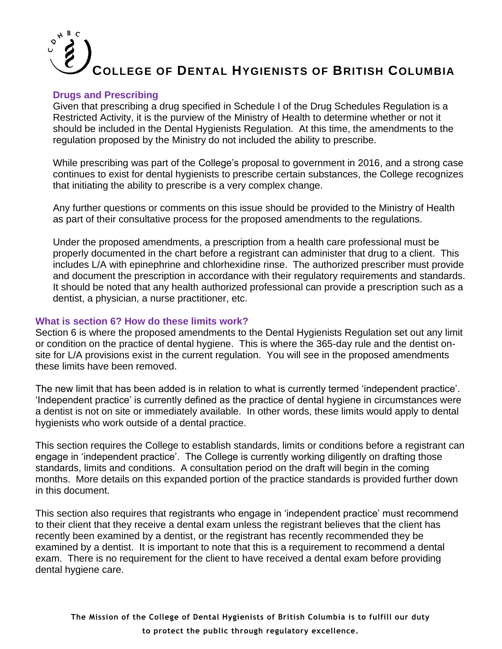### **Drugs and Prescribing**

Given that prescribing a drug specified in Schedule I of the Drug Schedules Regulation is a Restricted Activity, it is the purview of the Ministry of Health to determine whether or not it should be included in the Dental Hygienists Regulation. At this time, the amendments to the regulation proposed by the Ministry do not included the ability to prescribe.

While prescribing was part of the College's proposal to government in 2016, and a strong case continues to exist for dental hygienists to prescribe certain substances, the College recognizes that initiating the ability to prescribe is a very complex change.

Any further questions or comments on this issue should be provided to the Ministry of Health as part of their consultative process for the proposed amendments to the regulations.

Under the proposed amendments, a prescription from a health care professional must be properly documented in the chart before a registrant can administer that drug to a client. This includes L/A with epinephrine and chlorhexidine rinse. The authorized prescriber must provide and document the prescription in accordance with their regulatory requirements and standards. It should be noted that any health authorized professional can provide a prescription such as a dentist, a physician, a nurse practitioner, etc.

### **What is section 6? How do these limits work?**

Section 6 is where the proposed amendments to the Dental Hygienists Regulation set out any limit or condition on the practice of dental hygiene. This is where the 365-day rule and the dentist onsite for L/A provisions exist in the current regulation. You will see in the proposed amendments these limits have been removed.

The new limit that has been added is in relation to what is currently termed 'independent practice'. 'Independent practice' is currently defined as the practice of dental hygiene in circumstances were a dentist is not on site or immediately available. In other words, these limits would apply to dental hygienists who work outside of a dental practice.

This section requires the College to establish standards, limits or conditions before a registrant can engage in 'independent practice'. The College is currently working diligently on drafting those standards, limits and conditions. A consultation period on the draft will begin in the coming months. More details on this expanded portion of the practice standards is provided further down in this document.

This section also requires that registrants who engage in 'independent practice' must recommend to their client that they receive a dental exam unless the registrant believes that the client has recently been examined by a dentist, or the registrant has recently recommended they be examined by a dentist. It is important to note that this is a requirement to recommend a dental exam. There is no requirement for the client to have received a dental exam before providing dental hygiene care.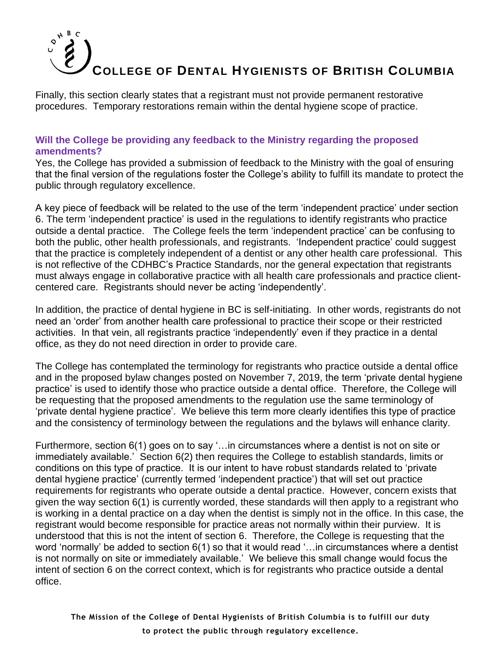Finally, this section clearly states that a registrant must not provide permanent restorative procedures. Temporary restorations remain within the dental hygiene scope of practice.

## **Will the College be providing any feedback to the Ministry regarding the proposed amendments?**

Yes, the College has provided a submission of feedback to the Ministry with the goal of ensuring that the final version of the regulations foster the College's ability to fulfill its mandate to protect the public through regulatory excellence.

A key piece of feedback will be related to the use of the term 'independent practice' under section 6. The term 'independent practice' is used in the regulations to identify registrants who practice outside a dental practice. The College feels the term 'independent practice' can be confusing to both the public, other health professionals, and registrants. 'Independent practice' could suggest that the practice is completely independent of a dentist or any other health care professional. This is not reflective of the CDHBC's Practice Standards, nor the general expectation that registrants must always engage in collaborative practice with all health care professionals and practice clientcentered care. Registrants should never be acting 'independently'.

In addition, the practice of dental hygiene in BC is self-initiating. In other words, registrants do not need an 'order' from another health care professional to practice their scope or their restricted activities. In that vein, all registrants practice 'independently' even if they practice in a dental office, as they do not need direction in order to provide care.

The College has contemplated the terminology for registrants who practice outside a dental office and in the proposed bylaw changes posted on November 7, 2019, the term 'private dental hygiene practice' is used to identify those who practice outside a dental office. Therefore, the College will be requesting that the proposed amendments to the regulation use the same terminology of 'private dental hygiene practice'. We believe this term more clearly identifies this type of practice and the consistency of terminology between the regulations and the bylaws will enhance clarity.

Furthermore, section 6(1) goes on to say '…in circumstances where a dentist is not on site or immediately available.' Section 6(2) then requires the College to establish standards, limits or conditions on this type of practice. It is our intent to have robust standards related to 'private dental hygiene practice' (currently termed 'independent practice') that will set out practice requirements for registrants who operate outside a dental practice. However, concern exists that given the way section 6(1) is currently worded, these standards will then apply to a registrant who is working in a dental practice on a day when the dentist is simply not in the office. In this case, the registrant would become responsible for practice areas not normally within their purview. It is understood that this is not the intent of section 6. Therefore, the College is requesting that the word 'normally' be added to section 6(1) so that it would read '…in circumstances where a dentist is not normally on site or immediately available.' We believe this small change would focus the intent of section 6 on the correct context, which is for registrants who practice outside a dental office.